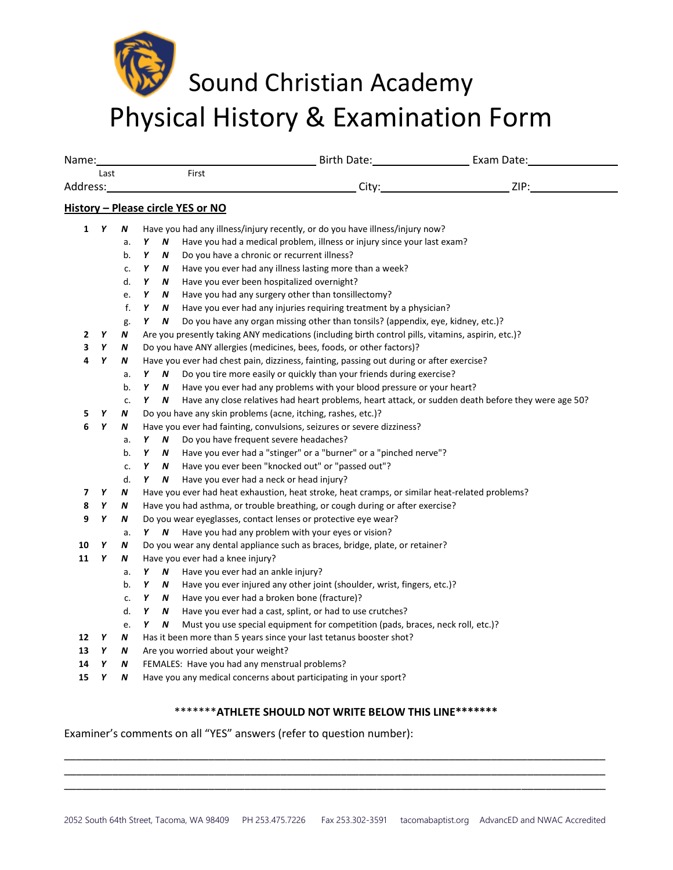## Sound Christian Academy Physical History & Examination Form

|              | Name: |    |                                                                                                                                                                                                                                      | Birth Date: Exam Date: Exam Date:           |                                                                                                    |                                                                                                     |  |  |  |  |
|--------------|-------|----|--------------------------------------------------------------------------------------------------------------------------------------------------------------------------------------------------------------------------------------|---------------------------------------------|----------------------------------------------------------------------------------------------------|-----------------------------------------------------------------------------------------------------|--|--|--|--|
| Last         |       |    | First                                                                                                                                                                                                                                |                                             |                                                                                                    |                                                                                                     |  |  |  |  |
| Address:     |       |    | <u>City: City: City: City: City: City: City: City: City: City: City: City: City: City: City: City: City: City: City: City: City: City: City: City: City: City: City: City: City: City: City: City: City: City: City: City: City:</u> |                                             |                                                                                                    |                                                                                                     |  |  |  |  |
|              |       |    |                                                                                                                                                                                                                                      | History - Please circle YES or NO           |                                                                                                    |                                                                                                     |  |  |  |  |
| $\mathbf{1}$ | Y     | N  | Have you had any illness/injury recently, or do you have illness/injury now?                                                                                                                                                         |                                             |                                                                                                    |                                                                                                     |  |  |  |  |
|              |       | a. | Y<br>N                                                                                                                                                                                                                               |                                             | Have you had a medical problem, illness or injury since your last exam?                            |                                                                                                     |  |  |  |  |
|              |       | b. | Υ<br>N                                                                                                                                                                                                                               | Do you have a chronic or recurrent illness? |                                                                                                    |                                                                                                     |  |  |  |  |
|              |       | c. | Υ<br>N                                                                                                                                                                                                                               |                                             | Have you ever had any illness lasting more than a week?                                            |                                                                                                     |  |  |  |  |
|              |       | d. | Υ<br>N                                                                                                                                                                                                                               | Have you ever been hospitalized overnight?  |                                                                                                    |                                                                                                     |  |  |  |  |
|              |       | e. | Υ<br>N                                                                                                                                                                                                                               |                                             | Have you had any surgery other than tonsillectomy?                                                 |                                                                                                     |  |  |  |  |
|              |       | f. | Υ<br>N                                                                                                                                                                                                                               |                                             | Have you ever had any injuries requiring treatment by a physician?                                 |                                                                                                     |  |  |  |  |
|              |       | g. | Y<br>N                                                                                                                                                                                                                               |                                             | Do you have any organ missing other than tonsils? (appendix, eye, kidney, etc.)?                   |                                                                                                     |  |  |  |  |
| 2            | Y     | N  |                                                                                                                                                                                                                                      |                                             | Are you presently taking ANY medications (including birth control pills, vitamins, aspirin, etc.)? |                                                                                                     |  |  |  |  |
| 3            | Υ     | N  | Do you have ANY allergies (medicines, bees, foods, or other factors)?                                                                                                                                                                |                                             |                                                                                                    |                                                                                                     |  |  |  |  |
| 4            | Y     | N  |                                                                                                                                                                                                                                      |                                             | Have you ever had chest pain, dizziness, fainting, passing out during or after exercise?           |                                                                                                     |  |  |  |  |
|              |       | a. | Y<br>N                                                                                                                                                                                                                               |                                             | Do you tire more easily or quickly than your friends during exercise?                              |                                                                                                     |  |  |  |  |
|              |       | b. | Y<br>N                                                                                                                                                                                                                               |                                             | Have you ever had any problems with your blood pressure or your heart?                             |                                                                                                     |  |  |  |  |
|              |       | c. | Y<br>N.                                                                                                                                                                                                                              |                                             |                                                                                                    | Have any close relatives had heart problems, heart attack, or sudden death before they were age 50? |  |  |  |  |
| 5            | Y     | N  | Do you have any skin problems (acne, itching, rashes, etc.)?                                                                                                                                                                         |                                             |                                                                                                    |                                                                                                     |  |  |  |  |
| 6            | Υ     | Ν  | Have you ever had fainting, convulsions, seizures or severe dizziness?                                                                                                                                                               |                                             |                                                                                                    |                                                                                                     |  |  |  |  |
|              |       | a. | Υ<br>N                                                                                                                                                                                                                               | Do you have frequent severe headaches?      |                                                                                                    |                                                                                                     |  |  |  |  |
|              |       | b. | Υ<br>N                                                                                                                                                                                                                               |                                             | Have you ever had a "stinger" or a "burner" or a "pinched nerve"?                                  |                                                                                                     |  |  |  |  |
|              |       | c. | N<br>Y                                                                                                                                                                                                                               |                                             | Have you ever been "knocked out" or "passed out"?                                                  |                                                                                                     |  |  |  |  |
|              |       | d. | Y<br>N                                                                                                                                                                                                                               | Have you ever had a neck or head injury?    |                                                                                                    |                                                                                                     |  |  |  |  |
| 7            | Υ     | N  | Have you ever had heat exhaustion, heat stroke, heat cramps, or similar heat-related problems?                                                                                                                                       |                                             |                                                                                                    |                                                                                                     |  |  |  |  |
| 8            | Y     | N  | Have you had asthma, or trouble breathing, or cough during or after exercise?                                                                                                                                                        |                                             |                                                                                                    |                                                                                                     |  |  |  |  |
| 9            | Υ     | N  |                                                                                                                                                                                                                                      |                                             | Do you wear eyeglasses, contact lenses or protective eye wear?                                     |                                                                                                     |  |  |  |  |
|              |       | a. | Y N                                                                                                                                                                                                                                  |                                             | Have you had any problem with your eyes or vision?                                                 |                                                                                                     |  |  |  |  |
| 10           | Y     | N  | Do you wear any dental appliance such as braces, bridge, plate, or retainer?                                                                                                                                                         |                                             |                                                                                                    |                                                                                                     |  |  |  |  |
| 11           | Υ     | Ν  |                                                                                                                                                                                                                                      | Have you ever had a knee injury?            |                                                                                                    |                                                                                                     |  |  |  |  |
|              |       | a. | Υ<br>N                                                                                                                                                                                                                               | Have you ever had an ankle injury?          |                                                                                                    |                                                                                                     |  |  |  |  |
|              |       | b. | Y<br>N                                                                                                                                                                                                                               |                                             | Have you ever injured any other joint (shoulder, wrist, fingers, etc.)?                            |                                                                                                     |  |  |  |  |
|              |       | c. | Y<br>N                                                                                                                                                                                                                               | Have you ever had a broken bone (fracture)? |                                                                                                    |                                                                                                     |  |  |  |  |
|              |       | d. | N<br>Υ                                                                                                                                                                                                                               |                                             | Have you ever had a cast, splint, or had to use crutches?                                          |                                                                                                     |  |  |  |  |
|              |       | e. | Y<br>N                                                                                                                                                                                                                               |                                             | Must you use special equipment for competition (pads, braces, neck roll, etc.)?                    |                                                                                                     |  |  |  |  |
| 12           | Υ     | N  | Has it been more than 5 years since your last tetanus booster shot?                                                                                                                                                                  |                                             |                                                                                                    |                                                                                                     |  |  |  |  |
| 13           | Y     | Ν  | Are you worried about your weight?                                                                                                                                                                                                   |                                             |                                                                                                    |                                                                                                     |  |  |  |  |
| 14           | Υ     | N  | FEMALES: Have you had any menstrual problems?                                                                                                                                                                                        |                                             |                                                                                                    |                                                                                                     |  |  |  |  |
| 15           | Υ     | N  | Have you any medical concerns about participating in your sport?                                                                                                                                                                     |                                             |                                                                                                    |                                                                                                     |  |  |  |  |

## \*\*\*\*\*\*\***ATHLETE SHOULD NOT WRITE BELOW THIS LINE\*\*\*\*\*\*\***

\_\_\_\_\_\_\_\_\_\_\_\_\_\_\_\_\_\_\_\_\_\_\_\_\_\_\_\_\_\_\_\_\_\_\_\_\_\_\_\_\_\_\_\_\_\_\_\_\_\_\_\_\_\_\_\_\_\_\_\_\_\_\_\_\_\_\_\_\_\_\_\_\_\_\_\_\_\_\_\_\_\_\_\_\_\_\_\_\_\_ \_\_\_\_\_\_\_\_\_\_\_\_\_\_\_\_\_\_\_\_\_\_\_\_\_\_\_\_\_\_\_\_\_\_\_\_\_\_\_\_\_\_\_\_\_\_\_\_\_\_\_\_\_\_\_\_\_\_\_\_\_\_\_\_\_\_\_\_\_\_\_\_\_\_\_\_\_\_\_\_\_\_\_\_\_\_\_\_\_\_ \_\_\_\_\_\_\_\_\_\_\_\_\_\_\_\_\_\_\_\_\_\_\_\_\_\_\_\_\_\_\_\_\_\_\_\_\_\_\_\_\_\_\_\_\_\_\_\_\_\_\_\_\_\_\_\_\_\_\_\_\_\_\_\_\_\_\_\_\_\_\_\_\_\_\_\_\_\_\_\_\_\_\_\_\_\_\_\_\_\_

Examiner's comments on all "YES" answers (refer to question number):